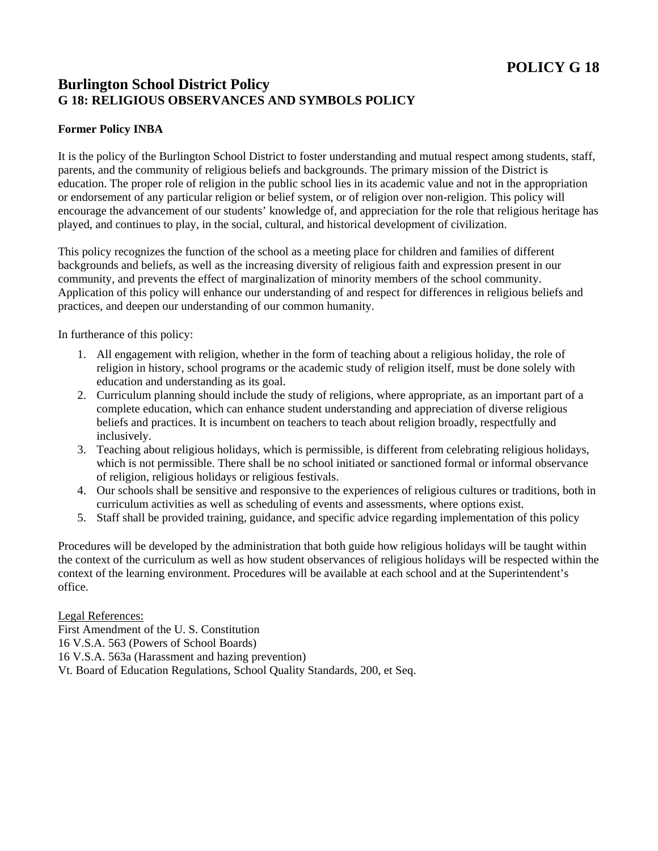## **Burlington School District Policy G 18: RELIGIOUS OBSERVANCES AND SYMBOLS POLICY**

## **Former Policy INBA**

It is the policy of the Burlington School District to foster understanding and mutual respect among students, staff, parents, and the community of religious beliefs and backgrounds. The primary mission of the District is education. The proper role of religion in the public school lies in its academic value and not in the appropriation or endorsement of any particular religion or belief system, or of religion over non-religion. This policy will encourage the advancement of our students' knowledge of, and appreciation for the role that religious heritage has played, and continues to play, in the social, cultural, and historical development of civilization.

This policy recognizes the function of the school as a meeting place for children and families of different backgrounds and beliefs, as well as the increasing diversity of religious faith and expression present in our community, and prevents the effect of marginalization of minority members of the school community. Application of this policy will enhance our understanding of and respect for differences in religious beliefs and practices, and deepen our understanding of our common humanity.

In furtherance of this policy:

- 1. All engagement with religion, whether in the form of teaching about a religious holiday, the role of religion in history, school programs or the academic study of religion itself, must be done solely with education and understanding as its goal.
- 2. Curriculum planning should include the study of religions, where appropriate, as an important part of a complete education, which can enhance student understanding and appreciation of diverse religious beliefs and practices. It is incumbent on teachers to teach about religion broadly, respectfully and inclusively.
- 3. Teaching about religious holidays, which is permissible, is different from celebrating religious holidays, which is not permissible. There shall be no school initiated or sanctioned formal or informal observance of religion, religious holidays or religious festivals.
- 4. Our schools shall be sensitive and responsive to the experiences of religious cultures or traditions, both in curriculum activities as well as scheduling of events and assessments, where options exist.
- 5. Staff shall be provided training, guidance, and specific advice regarding implementation of this policy

Procedures will be developed by the administration that both guide how religious holidays will be taught within the context of the curriculum as well as how student observances of religious holidays will be respected within the context of the learning environment. Procedures will be available at each school and at the Superintendent's office.

Legal References:

First Amendment of the U. S. Constitution

16 V.S.A. 563 (Powers of School Boards)

16 V.S.A. 563a (Harassment and hazing prevention)

Vt. Board of Education Regulations, School Quality Standards, 200, et Seq.